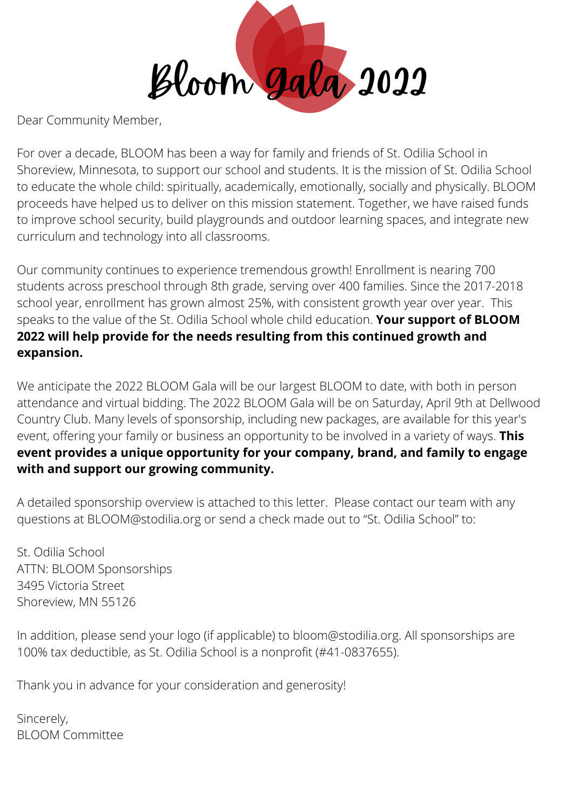

Dear Community Member,

For over a decade, BLOOM has been a way for family and friends of St. Odilia School in Shoreview, Minnesota, to support our school and students. It is the mission of St. Odilia School to educate the whole child: spiritually, academically, emotionally, socially and physically. BLOOM proceeds have helped us to deliver on this mission statement. Together, we have raised funds to improve school security, build playgrounds and outdoor learning spaces, and integrate new curriculum and technology into all classrooms.

Our community continues to experience tremendous growth! Enrollment is nearing 700 students across preschool through 8th grade, serving over 400 families. Since the 2017-2018 school year, enrollment has grown almost 25%, with consistent growth year over year. This speaks to the value of the St. Odilia School whole child education. **Your support of BLOOM 2022 will help provide for the needs resulting from this continued growth and expansion.**

We anticipate the 2022 BLOOM Gala will be our largest BLOOM to date, with both in person attendance and virtual bidding. The 2022 BLOOM Gala will be on Saturday, April 9th at Dellwood Country Club. Many levels of sponsorship, including new packages, are available for this year's event, offering your family or business an opportunity to be involved in a variety of ways. **This event provides a unique opportunity for your company, brand, and family to engage with and support our growing community.**

A detailed sponsorship overview is attached to this letter. Please contact our team with any questions at BLOOM@stodilia.org or send a check made out to "St. Odilia School" to:

St. Odilia School ATTN: BLOOM Sponsorships 3495 Victoria Street Shoreview, MN 55126

In addition, please send your logo (if applicable) to bloom@stodilia.org. All sponsorships are 100% tax deductible, as St. Odilia School is a nonprofit (#41-0837655).

Thank you in advance for your consideration and generosity!

Sincerely, BLOOM Committee